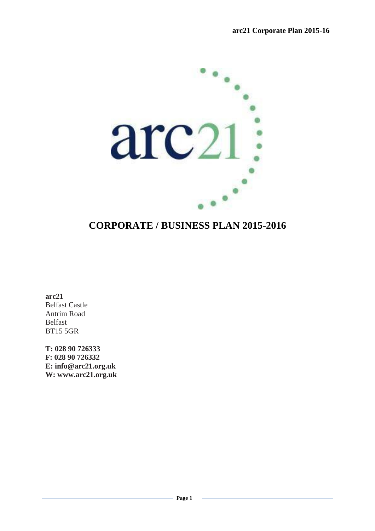

# **CORPORATE / BUSINESS PLAN 2015-2016**

**arc21** Belfast Castle Antrim Road Belfast BT15 5GR

**T: 028 90 726333 F: 028 90 726332 E: info@arc21.org.uk W: www.arc21.org.uk**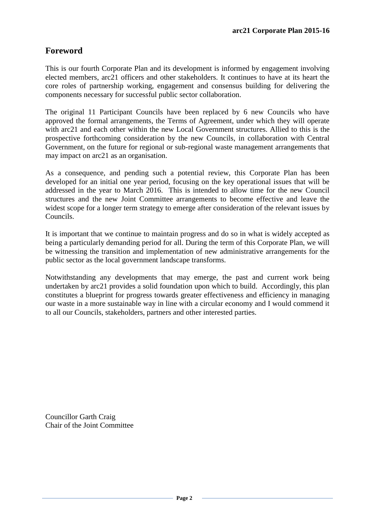# **Foreword**

This is our fourth Corporate Plan and its development is informed by engagement involving elected members, arc21 officers and other stakeholders. It continues to have at its heart the core roles of partnership working, engagement and consensus building for delivering the components necessary for successful public sector collaboration.

The original 11 Participant Councils have been replaced by 6 new Councils who have approved the formal arrangements, the Terms of Agreement, under which they will operate with arc21 and each other within the new Local Government structures. Allied to this is the prospective forthcoming consideration by the new Councils, in collaboration with Central Government, on the future for regional or sub-regional waste management arrangements that may impact on arc21 as an organisation.

As a consequence, and pending such a potential review, this Corporate Plan has been developed for an initial one year period, focusing on the key operational issues that will be addressed in the year to March 2016. This is intended to allow time for the new Council structures and the new Joint Committee arrangements to become effective and leave the widest scope for a longer term strategy to emerge after consideration of the relevant issues by Councils.

It is important that we continue to maintain progress and do so in what is widely accepted as being a particularly demanding period for all. During the term of this Corporate Plan, we will be witnessing the transition and implementation of new administrative arrangements for the public sector as the local government landscape transforms.

Notwithstanding any developments that may emerge, the past and current work being undertaken by arc21 provides a solid foundation upon which to build. Accordingly, this plan constitutes a blueprint for progress towards greater effectiveness and efficiency in managing our waste in a more sustainable way in line with a circular economy and I would commend it to all our Councils, stakeholders, partners and other interested parties.

Councillor Garth Craig Chair of the Joint Committee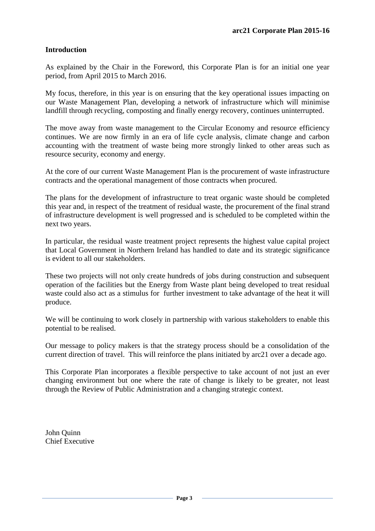# **Introduction**

As explained by the Chair in the Foreword, this Corporate Plan is for an initial one year period, from April 2015 to March 2016.

My focus, therefore, in this year is on ensuring that the key operational issues impacting on our Waste Management Plan, developing a network of infrastructure which will minimise landfill through recycling, composting and finally energy recovery, continues uninterrupted.

The move away from waste management to the Circular Economy and resource efficiency continues. We are now firmly in an era of life cycle analysis, climate change and carbon accounting with the treatment of waste being more strongly linked to other areas such as resource security, economy and energy.

At the core of our current Waste Management Plan is the procurement of waste infrastructure contracts and the operational management of those contracts when procured.

The plans for the development of infrastructure to treat organic waste should be completed this year and, in respect of the treatment of residual waste, the procurement of the final strand of infrastructure development is well progressed and is scheduled to be completed within the next two years.

In particular, the residual waste treatment project represents the highest value capital project that Local Government in Northern Ireland has handled to date and its strategic significance is evident to all our stakeholders.

These two projects will not only create hundreds of jobs during construction and subsequent operation of the facilities but the Energy from Waste plant being developed to treat residual waste could also act as a stimulus for further investment to take advantage of the heat it will produce.

We will be continuing to work closely in partnership with various stakeholders to enable this potential to be realised.

Our message to policy makers is that the strategy process should be a consolidation of the current direction of travel. This will reinforce the plans initiated by arc21 over a decade ago.

This Corporate Plan incorporates a flexible perspective to take account of not just an ever changing environment but one where the rate of change is likely to be greater, not least through the Review of Public Administration and a changing strategic context.

John Quinn Chief Executive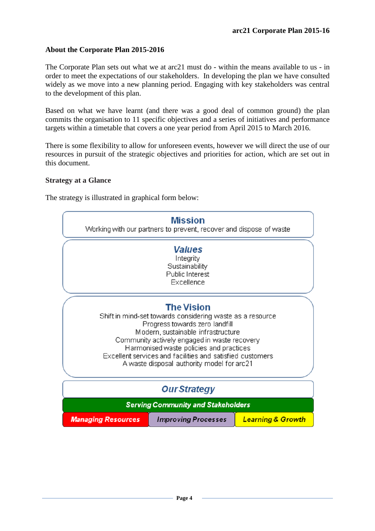# **About the Corporate Plan 2015-2016**

The Corporate Plan sets out what we at arc21 must do - within the means available to us - in order to meet the expectations of our stakeholders. In developing the plan we have consulted widely as we move into a new planning period. Engaging with key stakeholders was central to the development of this plan.

Based on what we have learnt (and there was a good deal of common ground) the plan commits the organisation to 11 specific objectives and a series of initiatives and performance targets within a timetable that covers a one year period from April 2015 to March 2016.

There is some flexibility to allow for unforeseen events, however we will direct the use of our resources in pursuit of the strategic objectives and priorities for action, which are set out in this document.

#### **Strategy at a Glance**

The strategy is illustrated in graphical form below:

|                                                                                                                                                                                                                                                                                                                                                              | <b>Mission</b><br>Working with our partners to prevent, recover and dispose of waste |                              |  |  |  |
|--------------------------------------------------------------------------------------------------------------------------------------------------------------------------------------------------------------------------------------------------------------------------------------------------------------------------------------------------------------|--------------------------------------------------------------------------------------|------------------------------|--|--|--|
| <b>Values</b><br>Integrity<br>Sustainability<br>Public Interest<br>Excellence                                                                                                                                                                                                                                                                                |                                                                                      |                              |  |  |  |
| <b>The Vision</b><br>Shift in mind-set towards considering waste as a resource<br>Progress towards zero landfill<br>Modern, sustainable infrastructure<br>Community actively engaged in waste recovery<br>Harmonised waste policies and practices<br>Excellent services and facilities and satisfied customers<br>A waste disposal authority model for arc21 |                                                                                      |                              |  |  |  |
| <b>Our Strategy</b>                                                                                                                                                                                                                                                                                                                                          |                                                                                      |                              |  |  |  |
|                                                                                                                                                                                                                                                                                                                                                              | <b>Serving Community and Stakeholders</b>                                            |                              |  |  |  |
| <b>Managing Resources</b>                                                                                                                                                                                                                                                                                                                                    | <b>Improving Processes</b>                                                           | <b>Learning &amp; Growth</b> |  |  |  |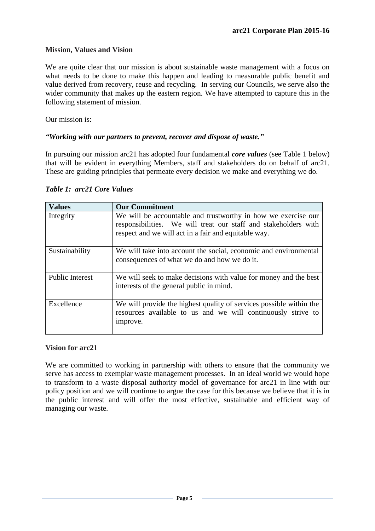# **Mission, Values and Vision**

We are quite clear that our mission is about sustainable waste management with a focus on what needs to be done to make this happen and leading to measurable public benefit and value derived from recovery, reuse and recycling. In serving our Councils, we serve also the wider community that makes up the eastern region. We have attempted to capture this in the following statement of mission.

Our mission is:

# *"Working with our partners to prevent, recover and dispose of waste."*

In pursuing our mission arc21 has adopted four fundamental *core values* (see Table 1 below) that will be evident in everything Members, staff and stakeholders do on behalf of arc21. These are guiding principles that permeate every decision we make and everything we do.

| <b>Values</b>          | <b>Our Commitment</b>                                                                                                                                                                    |
|------------------------|------------------------------------------------------------------------------------------------------------------------------------------------------------------------------------------|
| Integrity              | We will be accountable and trustworthy in how we exercise our<br>responsibilities. We will treat our staff and stakeholders with<br>respect and we will act in a fair and equitable way. |
| Sustainability         | We will take into account the social, economic and environmental<br>consequences of what we do and how we do it.                                                                         |
| <b>Public Interest</b> | We will seek to make decisions with value for money and the best<br>interests of the general public in mind.                                                                             |
| Excellence             | We will provide the highest quality of services possible within the<br>resources available to us and we will continuously strive to<br>improve.                                          |

#### *Table 1: arc21 Core Values*

# **Vision for arc21**

We are committed to working in partnership with others to ensure that the community we serve has access to exemplar waste management processes. In an ideal world we would hope to transform to a waste disposal authority model of governance for arc21 in line with our policy position and we will continue to argue the case for this because we believe that it is in the public interest and will offer the most effective, sustainable and efficient way of managing our waste.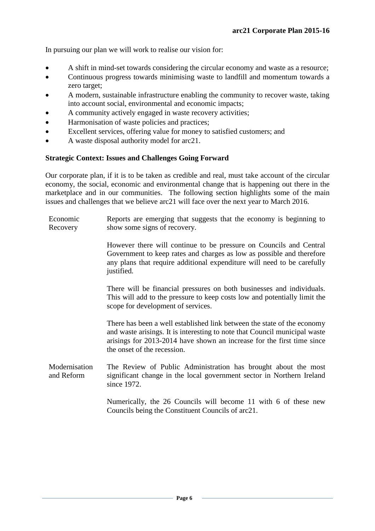In pursuing our plan we will work to realise our vision for:

- A shift in mind-set towards considering the circular economy and waste as a resource;
- Continuous progress towards minimising waste to landfill and momentum towards a zero target;
- A modern, sustainable infrastructure enabling the community to recover waste, taking into account social, environmental and economic impacts;
- A community actively engaged in waste recovery activities;
- Harmonisation of waste policies and practices;
- Excellent services, offering value for money to satisfied customers; and
- A waste disposal authority model for arc21.

# **Strategic Context: Issues and Challenges Going Forward**

Our corporate plan, if it is to be taken as credible and real, must take account of the circular economy, the social, economic and environmental change that is happening out there in the marketplace and in our communities. The following section highlights some of the main issues and challenges that we believe arc21 will face over the next year to March 2016.

Economic Recovery Reports are emerging that suggests that the economy is beginning to show some signs of recovery.

> However there will continue to be pressure on Councils and Central Government to keep rates and charges as low as possible and therefore any plans that require additional expenditure will need to be carefully justified.

> There will be financial pressures on both businesses and individuals. This will add to the pressure to keep costs low and potentially limit the scope for development of services.

> There has been a well established link between the state of the economy and waste arisings. It is interesting to note that Council municipal waste arisings for 2013-2014 have shown an increase for the first time since the onset of the recession.

**Modernisation** and Reform The Review of Public Administration has brought about the most significant change in the local government sector in Northern Ireland since 1972.

> Numerically, the 26 Councils will become 11 with 6 of these new Councils being the Constituent Councils of arc21.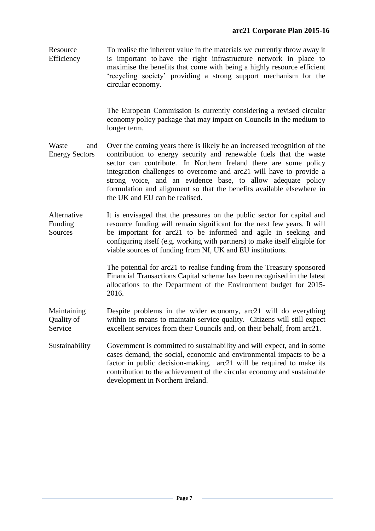**Resource** Efficiency To realise the inherent value in the materials we currently throw away it is important to have the right infrastructure network in place to maximise the benefits that come with being a highly resource efficient 'recycling society' providing a strong support mechanism for the circular economy.

> The European Commission is currently considering a revised circular economy policy package that may impact on Councils in the medium to longer term.

- Waste and Energy Sectors Over the coming years there is likely be an increased recognition of the contribution to energy security and renewable fuels that the waste sector can contribute. In Northern Ireland there are some policy integration challenges to overcome and arc21 will have to provide a strong voice, and an evidence base, to allow adequate policy formulation and alignment so that the benefits available elsewhere in the UK and EU can be realised.
- Alternative Funding Sources It is envisaged that the pressures on the public sector for capital and resource funding will remain significant for the next few years. It will be important for arc21 to be informed and agile in seeking and configuring itself (e.g. working with partners) to make itself eligible for viable sources of funding from NI, UK and EU institutions.

The potential for arc21 to realise funding from the Treasury sponsored Financial Transactions Capital scheme has been recognised in the latest allocations to the Department of the Environment budget for 2015- 2016.

Maintaining Quality of Service Despite problems in the wider economy, arc21 will do everything within its means to maintain service quality. Citizens will still expect excellent services from their Councils and, on their behalf, from arc21.

Sustainability Government is committed to sustainability and will expect, and in some cases demand, the social, economic and environmental impacts to be a factor in public decision-making. arc21 will be required to make its contribution to the achievement of the circular economy and sustainable development in Northern Ireland.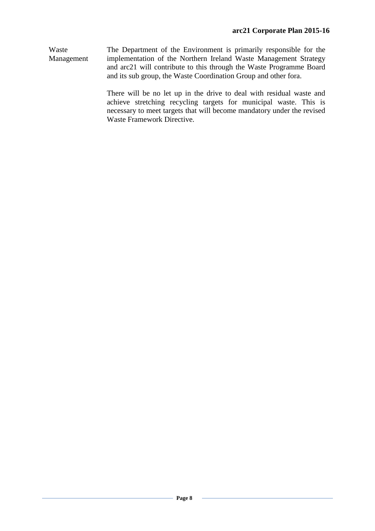Waste Management The Department of the Environment is primarily responsible for the implementation of the Northern Ireland Waste Management Strategy and arc21 will contribute to this through the Waste Programme Board and its sub group, the Waste Coordination Group and other fora.

> There will be no let up in the drive to deal with residual waste and achieve stretching recycling targets for municipal waste. This is necessary to meet targets that will become mandatory under the revised Waste Framework Directive.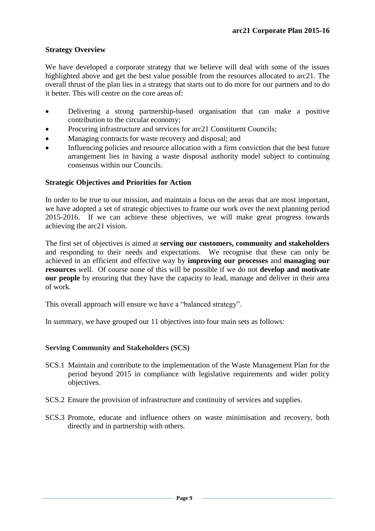# **Strategy Overview**

We have developed a corporate strategy that we believe will deal with some of the issues highlighted above and get the best value possible from the resources allocated to arc21. The overall thrust of the plan lies in a strategy that starts out to do more for our partners and to do it better. This will centre on the core areas of:

- Delivering a strong partnership-based organisation that can make a positive contribution to the circular economy;
- Procuring infrastructure and services for arc21 Constituent Councils;
- Managing contracts for waste recovery and disposal; and
- Influencing policies and resource allocation with a firm conviction that the best future arrangement lies in having a waste disposal authority model subject to continuing consensus within our Councils.

# **Strategic Objectives and Priorities for Action**

In order to be true to our mission, and maintain a focus on the areas that are most important, we have adopted a set of strategic objectives to frame our work over the next planning period 2015-2016. If we can achieve these objectives, we will make great progress towards achieving the arc21 vision.

The first set of objectives is aimed at **serving our customers, community and stakeholders**  and responding to their needs and expectations. We recognise that these can only be achieved in an efficient and effective way by **improving our processes** and **managing our resources** well. Of course none of this will be possible if we do not **develop and motivate our people** by ensuring that they have the capacity to lead, manage and deliver in their area of work.

This overall approach will ensure we have a "balanced strategy".

In summary, we have grouped our 11 objectives into four main sets as follows:

# **Serving Community and Stakeholders (SCS)**

- SCS.1 Maintain and contribute to the implementation of the Waste Management Plan for the period beyond 2015 in compliance with legislative requirements and wider policy objectives.
- SCS.2 Ensure the provision of infrastructure and continuity of services and supplies.
- SCS.3 Promote, educate and influence others on waste minimisation and recovery, both directly and in partnership with others.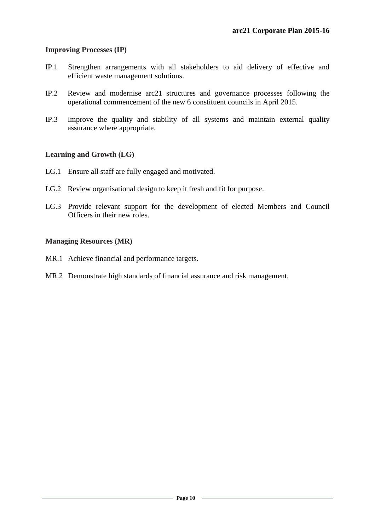# **Improving Processes (IP)**

- IP.1 Strengthen arrangements with all stakeholders to aid delivery of effective and efficient waste management solutions.
- IP.2 Review and modernise arc21 structures and governance processes following the operational commencement of the new 6 constituent councils in April 2015.
- IP.3 Improve the quality and stability of all systems and maintain external quality assurance where appropriate.

# **Learning and Growth (LG)**

- LG.1 Ensure all staff are fully engaged and motivated.
- LG.2 Review organisational design to keep it fresh and fit for purpose.
- LG.3 Provide relevant support for the development of elected Members and Council Officers in their new roles.

# **Managing Resources (MR)**

- MR.1 Achieve financial and performance targets.
- MR.2 Demonstrate high standards of financial assurance and risk management.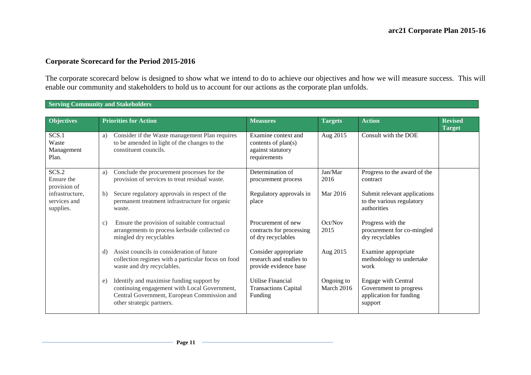#### **Corporate Scorecard for the Period 2015-2016**

The corporate scorecard below is designed to show what we intend to do to achieve our objectives and how we will measure success. This will enable our community and stakeholders to hold us to account for our actions as the corporate plan unfolds.

#### **Serving Community and Stakeholders**

| <b>Objectives</b>                            |              | <b>Priorities for Action</b>                                                                                                                                         | <b>Measures</b>                                                                 | <b>Targets</b>           | <b>Action</b>                                                                              | <b>Revised</b><br><b>Target</b> |
|----------------------------------------------|--------------|----------------------------------------------------------------------------------------------------------------------------------------------------------------------|---------------------------------------------------------------------------------|--------------------------|--------------------------------------------------------------------------------------------|---------------------------------|
| SCS.1<br>Waste<br>Management<br>Plan.        | a)           | Consider if the Waste management Plan requires<br>to be amended in light of the changes to the<br>constituent councils.                                              | Examine context and<br>contents of plan(s)<br>against statutory<br>requirements | Aug 2015                 | Consult with the DOE                                                                       |                                 |
| SCS.2<br>Ensure the<br>provision of          | a)           | Conclude the procurement processes for the<br>provision of services to treat residual waste.                                                                         | Determination of<br>procurement process                                         | Jan/Mar<br>2016          | Progress to the award of the<br>contract                                                   |                                 |
| infrastructure,<br>services and<br>supplies. | $\mathbf{b}$ | Secure regulatory approvals in respect of the<br>permanent treatment infrastructure for organic<br>waste.                                                            | Regulatory approvals in<br>place                                                | Mar 2016                 | Submit relevant applications<br>to the various regulatory<br>authorities                   |                                 |
|                                              | c)           | Ensure the provision of suitable contractual<br>arrangements to process kerbside collected co<br>mingled dry recyclables                                             | Procurement of new<br>contracts for processing<br>of dry recyclables            | Oct/Nov<br>2015          | Progress with the<br>procurement for co-mingled<br>dry recyclables                         |                                 |
|                                              | d)           | Assist councils in consideration of future<br>collection regimes with a particular focus on food<br>waste and dry recyclables.                                       | Consider appropriate<br>research and studies to<br>provide evidence base        | Aug 2015                 | Examine appropriate<br>methodology to undertake<br>work                                    |                                 |
|                                              | e)           | Identify and maximise funding support by<br>continuing engagement with Local Government,<br>Central Government, European Commission and<br>other strategic partners. | <b>Utilise Financial</b><br><b>Transactions Capital</b><br>Funding              | Ongoing to<br>March 2016 | <b>Engage with Central</b><br>Government to progress<br>application for funding<br>support |                                 |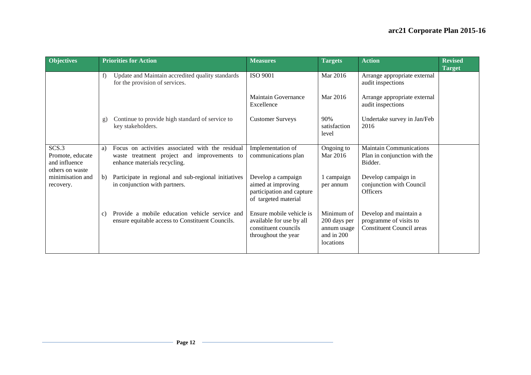| <b>Objectives</b>                                             |    | <b>Priorities for Action</b>                                                                                                    | <b>Measures</b>                                                                                     | <b>Targets</b>                                                       | <b>Action</b>                                                                        | <b>Revised</b><br><b>Target</b> |
|---------------------------------------------------------------|----|---------------------------------------------------------------------------------------------------------------------------------|-----------------------------------------------------------------------------------------------------|----------------------------------------------------------------------|--------------------------------------------------------------------------------------|---------------------------------|
|                                                               | f) | Update and Maintain accredited quality standards<br>for the provision of services.                                              | <b>ISO 9001</b>                                                                                     | Mar 2016                                                             | Arrange appropriate external<br>audit inspections                                    |                                 |
|                                                               |    |                                                                                                                                 | Maintain Governance<br>Excellence                                                                   | Mar 2016                                                             | Arrange appropriate external<br>audit inspections                                    |                                 |
|                                                               | g) | Continue to provide high standard of service to<br>key stakeholders.                                                            | <b>Customer Surveys</b>                                                                             | 90%<br>satisfaction<br>level                                         | Undertake survey in Jan/Feb<br>2016                                                  |                                 |
| SCS.3<br>Promote, educate<br>and influence<br>others on waste | a) | Focus on activities associated with the residual<br>waste treatment project and improvements to<br>enhance materials recycling. | Implementation of<br>communications plan                                                            | Ongoing to<br>Mar 2016                                               | <b>Maintain Communications</b><br>Plan in conjunction with the<br>Bidder.            |                                 |
| minimisation and<br>recovery.                                 | b) | Participate in regional and sub-regional initiatives<br>in conjunction with partners.                                           | Develop a campaign<br>aimed at improving<br>participation and capture<br>of targeted material       | 1 campaign<br>per annum                                              | Develop campaign in<br>conjunction with Council<br><b>Officers</b>                   |                                 |
|                                                               | C) | Provide a mobile education vehicle service and<br>ensure equitable access to Constituent Councils.                              | Ensure mobile vehicle is<br>available for use by all<br>constituent councils<br>throughout the year | Minimum of<br>200 days per<br>annum usage<br>and in 200<br>locations | Develop and maintain a<br>programme of visits to<br><b>Constituent Council areas</b> |                                 |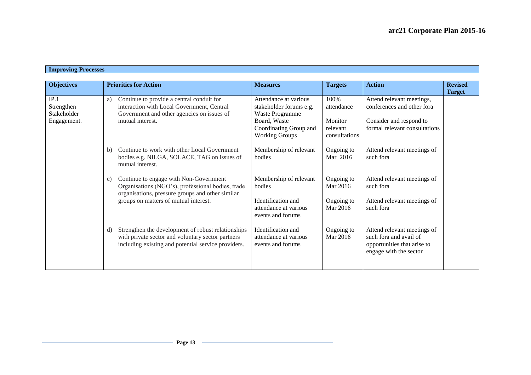| <b>Objectives</b>                                | <b>Priorities for Action</b>                                                                                                                                         | <b>Measures</b>                                                                                                                        | <b>Targets</b>                                             | <b>Action</b>                                                                                                       | <b>Revised</b><br><b>Target</b> |
|--------------------------------------------------|----------------------------------------------------------------------------------------------------------------------------------------------------------------------|----------------------------------------------------------------------------------------------------------------------------------------|------------------------------------------------------------|---------------------------------------------------------------------------------------------------------------------|---------------------------------|
| IP.1<br>Strengthen<br>Stakeholder<br>Engagement. | Continue to provide a central conduit for<br>a)<br>interaction with Local Government, Central<br>Government and other agencies on issues of<br>mutual interest.      | Attendance at various<br>stakeholder forums e.g.<br>Waste Programme<br>Board, Waste<br>Coordinating Group and<br><b>Working Groups</b> | 100%<br>attendance<br>Monitor<br>relevant<br>consultations | Attend relevant meetings,<br>conferences and other fora<br>Consider and respond to<br>formal relevant consultations |                                 |
|                                                  | Continue to work with other Local Government<br>b)<br>bodies e.g. NILGA, SOLACE, TAG on issues of<br>mutual interest.                                                | Membership of relevant<br>bodies                                                                                                       | Ongoing to<br>Mar 2016                                     | Attend relevant meetings of<br>such fora                                                                            |                                 |
|                                                  | Continue to engage with Non-Government<br>c)<br>Organisations (NGO's), professional bodies, trade<br>organisations, pressure groups and other similar                | Membership of relevant<br>bodies<br>Identification and                                                                                 | Ongoing to<br>Mar 2016<br>Ongoing to                       | Attend relevant meetings of<br>such fora<br>Attend relevant meetings of                                             |                                 |
|                                                  | groups on matters of mutual interest.                                                                                                                                | attendance at various<br>events and forums                                                                                             | Mar 2016                                                   | such fora                                                                                                           |                                 |
|                                                  | Strengthen the development of robust relationships<br>d)<br>with private sector and voluntary sector partners<br>including existing and potential service providers. | Identification and<br>attendance at various<br>events and forums                                                                       | Ongoing to<br>Mar 2016                                     | Attend relevant meetings of<br>such fora and avail of<br>opportunities that arise to<br>engage with the sector      |                                 |

#### **Improving Processes**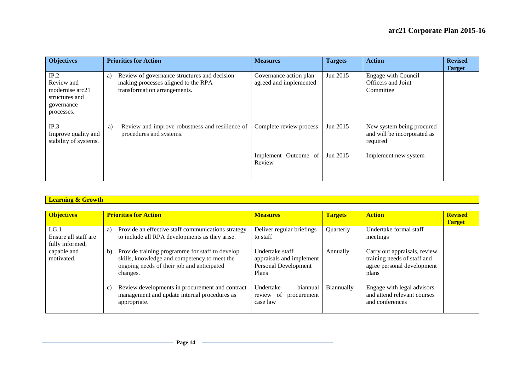| <b>Objectives</b>                                                                   | <b>Priorities for Action</b>                                                                                              | <b>Measures</b>                                  | <b>Targets</b>       | <b>Action</b>                                                                                | <b>Revised</b><br><b>Target</b> |
|-------------------------------------------------------------------------------------|---------------------------------------------------------------------------------------------------------------------------|--------------------------------------------------|----------------------|----------------------------------------------------------------------------------------------|---------------------------------|
| IP.2<br>Review and<br>modernise arc21<br>structures and<br>governance<br>processes. | Review of governance structures and decision<br>a)<br>making processes aligned to the RPA<br>transformation arrangements. | Governance action plan<br>agreed and implemented | Jun 2015             | Engage with Council<br>Officers and Joint<br>Committee                                       |                                 |
| IP.3<br>Improve quality and<br>stability of systems.                                | Review and improve robustness and resilience of<br>a)<br>procedures and systems.                                          | Complete review process<br>Implement Outcome of  | Jun 2015<br>Jun 2015 | New system being procured<br>and will be incorporated as<br>required<br>Implement new system |                                 |
|                                                                                     |                                                                                                                           | Review                                           |                      |                                                                                              |                                 |

# **Learning & Growth Executive Contract of the Contract of the Contract of the Contract of the Contract of the Contract of the Contract of the Contract of the Contract of the Contract of the Contract of the Contract of the**

| <b>Priorities for Action</b>                             | <b>Measures</b>                                                                                                                                                                                                                                                                              | <b>Targets</b>                                                                                                    | <b>Action</b>          | <b>Revised</b>                                                                                                                                                                     |
|----------------------------------------------------------|----------------------------------------------------------------------------------------------------------------------------------------------------------------------------------------------------------------------------------------------------------------------------------------------|-------------------------------------------------------------------------------------------------------------------|------------------------|------------------------------------------------------------------------------------------------------------------------------------------------------------------------------------|
|                                                          |                                                                                                                                                                                                                                                                                              |                                                                                                                   |                        | <b>Target</b>                                                                                                                                                                      |
| Provide an effective staff communications strategy<br>a) | Deliver regular briefings                                                                                                                                                                                                                                                                    | Quarterly                                                                                                         | Undertake formal staff |                                                                                                                                                                                    |
| to include all RPA developments as they arise.           | to staff                                                                                                                                                                                                                                                                                     |                                                                                                                   | meetings               |                                                                                                                                                                                    |
|                                                          |                                                                                                                                                                                                                                                                                              |                                                                                                                   |                        |                                                                                                                                                                                    |
| b)                                                       | Undertake staff                                                                                                                                                                                                                                                                              | Annually                                                                                                          |                        |                                                                                                                                                                                    |
|                                                          |                                                                                                                                                                                                                                                                                              |                                                                                                                   |                        |                                                                                                                                                                                    |
|                                                          |                                                                                                                                                                                                                                                                                              |                                                                                                                   |                        |                                                                                                                                                                                    |
|                                                          | Plans                                                                                                                                                                                                                                                                                        |                                                                                                                   |                        |                                                                                                                                                                                    |
|                                                          |                                                                                                                                                                                                                                                                                              |                                                                                                                   |                        |                                                                                                                                                                                    |
|                                                          |                                                                                                                                                                                                                                                                                              |                                                                                                                   |                        |                                                                                                                                                                                    |
|                                                          |                                                                                                                                                                                                                                                                                              |                                                                                                                   |                        |                                                                                                                                                                                    |
|                                                          |                                                                                                                                                                                                                                                                                              |                                                                                                                   |                        |                                                                                                                                                                                    |
|                                                          |                                                                                                                                                                                                                                                                                              |                                                                                                                   |                        |                                                                                                                                                                                    |
|                                                          | Provide training programme for staff to develop<br>skills, knowledge and competency to meet the<br>ongoing needs of their job and anticipated<br>changes.<br>Review developments in procurement and contract<br>$\mathbf{C}$<br>management and update internal procedures as<br>appropriate. | appraisals and implement<br>Personal Development<br>Undertake<br>biannual<br>review of<br>procurement<br>case law | Biannually             | Carry out appraisals, review<br>training needs of staff and<br>agree personal development<br>plans<br>Engage with legal advisors<br>and attend relevant courses<br>and conferences |

<u> 1980 - Johann Barn, amerikan personal (</u>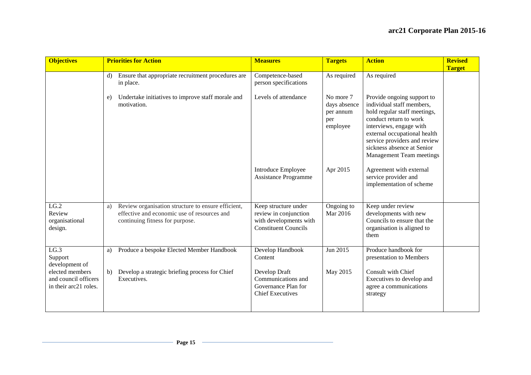| <b>Objectives</b>                                                                                                  | <b>Priorities for Action</b><br><b>Measures</b>                                                                                                                               | <b>Targets</b>                                                                                                                   | <b>Action</b>                                                                                                                                                                                                                                                                 | <b>Revised</b><br><b>Target</b> |
|--------------------------------------------------------------------------------------------------------------------|-------------------------------------------------------------------------------------------------------------------------------------------------------------------------------|----------------------------------------------------------------------------------------------------------------------------------|-------------------------------------------------------------------------------------------------------------------------------------------------------------------------------------------------------------------------------------------------------------------------------|---------------------------------|
|                                                                                                                    | Ensure that appropriate recruitment procedures are<br>d)<br>in place.                                                                                                         | Competence-based<br>As required<br>person specifications                                                                         | As required                                                                                                                                                                                                                                                                   |                                 |
|                                                                                                                    | Undertake initiatives to improve staff morale and<br>e)<br>motivation.                                                                                                        | Levels of attendance<br>No more 7<br>days absence<br>per annum<br>per<br>employee                                                | Provide ongoing support to<br>individual staff members,<br>hold regular staff meetings,<br>conduct return to work<br>interviews, engage with<br>external occupational health<br>service providers and review<br>sickness absence at Senior<br><b>Management Team meetings</b> |                                 |
|                                                                                                                    |                                                                                                                                                                               | <b>Introduce Employee</b><br>Apr 2015<br><b>Assistance Programme</b>                                                             | Agreement with external<br>service provider and<br>implementation of scheme                                                                                                                                                                                                   |                                 |
| LG.2<br>Review<br>organisational<br>design.                                                                        | Review organisation structure to ensure efficient,<br>a)<br>effective and economic use of resources and<br>continuing fitness for purpose.                                    | Ongoing to<br>Keep structure under<br>Mar 2016<br>review in conjunction<br>with developments with<br><b>Constituent Councils</b> | Keep under review<br>developments with new<br>Councils to ensure that the<br>organisation is aligned to<br>them                                                                                                                                                               |                                 |
| $LG.\overline{3}$<br>Support<br>development of<br>elected members<br>and council officers<br>in their arc21 roles. | Produce a bespoke Elected Member Handbook<br>a)<br>Content<br>Develop a strategic briefing process for Chief<br>Develop Draft<br>b)<br>Executives.<br><b>Chief Executives</b> | Jun 2015<br>Develop Handbook<br>May 2015<br>Communications and<br>Governance Plan for                                            | Produce handbook for<br>presentation to Members<br>Consult with Chief<br>Executives to develop and<br>agree a communications<br>strategy                                                                                                                                      |                                 |

<u> 1989 - Johann Barn, mars eta bainar eta idazlea (</u>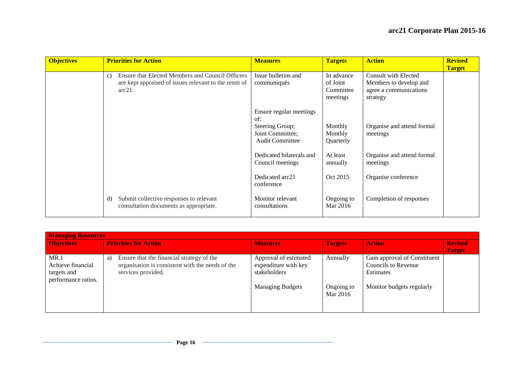| <b>Objectives</b> | <b>Priorities for Action</b>                                                                                                          | <b>Measures</b>                                                                                 | <b>Targets</b>                                  | <b>Action</b>                                                                        | <b>Revised</b><br><b>Target</b> |
|-------------------|---------------------------------------------------------------------------------------------------------------------------------------|-------------------------------------------------------------------------------------------------|-------------------------------------------------|--------------------------------------------------------------------------------------|---------------------------------|
|                   | Ensure that Elected Members and Council Officers<br>$\mathbf{c}$ )<br>are kept appraised of issues relevant to the remit of<br>arc21. | Issue bulletins and<br>communiqués                                                              | In advance<br>of Joint<br>Committee<br>meetings | Consult with Elected<br>Members to develop and<br>agree a communications<br>strategy |                                 |
|                   |                                                                                                                                       | Ensure regular meetings<br>of:<br>Steering Group;<br>Joint Committee;<br><b>Audit Committee</b> | Monthly<br>Monthly<br>Quarterly                 | Organise and attend formal<br>meetings                                               |                                 |
|                   |                                                                                                                                       | Dedicated bilaterals and<br>Council meetings                                                    | At least<br>annually                            | Organise and attend formal<br>meetings                                               |                                 |
|                   |                                                                                                                                       | Dedicated arc21<br>conference                                                                   | Oct 2015                                        | Organise conference                                                                  |                                 |
|                   | Submit collective responses to relevant<br>d)<br>consultation documents as appropriate.                                               | Monitor relevant<br>consultations                                                               | Ongoing to<br>Mar 2016                          | Completion of responses                                                              |                                 |

| <b>Managing Resources</b>                                       |                                                                                                                           |                                                                                          |                                    |                                                                                               |                |  |  |
|-----------------------------------------------------------------|---------------------------------------------------------------------------------------------------------------------------|------------------------------------------------------------------------------------------|------------------------------------|-----------------------------------------------------------------------------------------------|----------------|--|--|
| <b>Objectives</b>                                               | <b>Priorities for Action</b>                                                                                              | <b>Measures</b>                                                                          | <b>Targets</b>                     | <b>Action</b>                                                                                 | <b>Revised</b> |  |  |
| MR.1<br>Achieve financial<br>targets and<br>performance ratios. | Ensure that the financial strategy of the<br>a)<br>organisation is consistent with the needs of the<br>services provided. | Approval of estimated<br>expenditure with key<br>stakeholders<br><b>Managing Budgets</b> | Annually<br>Ongoing to<br>Mar 2016 | Gain approval of Constituent<br>Councils to Revenue<br>Estimates<br>Monitor budgets regularly | <b>Target</b>  |  |  |

<u> 1989 - Johann Barn, mars and de Branch Barn, mars and de Branch Barn, mars and de Branch Barn, mars and de Br</u>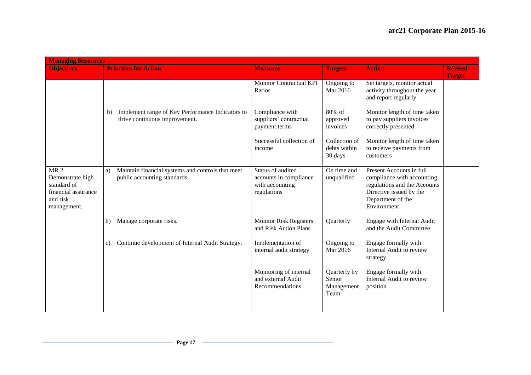|                                                                                           | <b>Managing Resources</b>                                                               |                                                                               |                                              |                                                                                                                                                       |                |  |  |
|-------------------------------------------------------------------------------------------|-----------------------------------------------------------------------------------------|-------------------------------------------------------------------------------|----------------------------------------------|-------------------------------------------------------------------------------------------------------------------------------------------------------|----------------|--|--|
| <b>Objectives</b>                                                                         | <b>Priorities for Action</b>                                                            | <b>Measures</b>                                                               | <b>Targets</b>                               | <b>Action</b>                                                                                                                                         | <b>Revised</b> |  |  |
|                                                                                           |                                                                                         | <b>Monitor Contractual KPI</b><br>Ratios                                      | Ongoing to<br>Mar 2016                       | Set targets, monitor actual<br>activity throughout the year<br>and report regularly                                                                   | <b>Target</b>  |  |  |
|                                                                                           | Implement range of Key Performance Indicators to<br>b)<br>drive continuous improvement. | Compliance with<br>suppliers' contractual<br>payment terms                    | 80% of<br>approved<br>invoices               | Monitor length of time taken<br>to pay suppliers invoices<br>correctly presented                                                                      |                |  |  |
|                                                                                           |                                                                                         | Successful collection of<br>income                                            | Collection of<br>debts within<br>30 days     | Monitor length of time taken<br>to receive payments from<br>customers                                                                                 |                |  |  |
| MR.2<br>Demonstrate high<br>standard of<br>financial assurance<br>and risk<br>management. | Maintain financial systems and controls that meet<br>a)<br>public accounting standards. | Status of audited<br>accounts in compliance<br>with accounting<br>regulations | On time and<br>unqualified                   | Present Accounts in full<br>compliance with accounting<br>regulations and the Accounts<br>Directive issued by the<br>Department of the<br>Environment |                |  |  |
|                                                                                           | Manage corporate risks.<br>b)                                                           | <b>Monitor Risk Registers</b><br>and Risk Action Plans                        | Quarterly                                    | Engage with Internal Audit<br>and the Audit Committee                                                                                                 |                |  |  |
|                                                                                           | Continue development of Internal Audit Strategy.<br>c)                                  | Implementation of<br>internal audit strategy                                  | Ongoing to<br>Mar 2016                       | Engage formally with<br>Internal Audit to review<br>strategy                                                                                          |                |  |  |
|                                                                                           |                                                                                         | Monitoring of internal<br>and external Audit<br>Recommendations               | Quarterly by<br>Senior<br>Management<br>Team | Engage formally with<br>Internal Audit to review<br>position                                                                                          |                |  |  |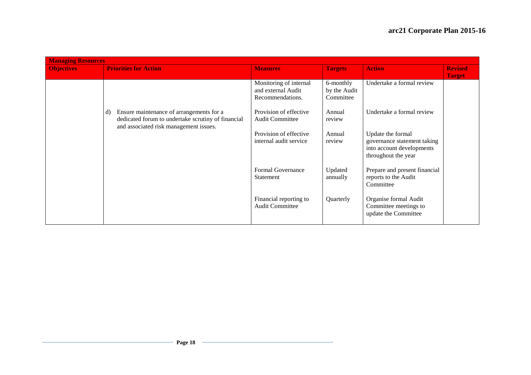| <b>Managing Resources</b> |                                                                                                                                                |                                                                  |                                        |                                                                                                      |                                 |
|---------------------------|------------------------------------------------------------------------------------------------------------------------------------------------|------------------------------------------------------------------|----------------------------------------|------------------------------------------------------------------------------------------------------|---------------------------------|
| <b>Objectives</b>         | <b>Priorities for Action</b>                                                                                                                   | <b>Measures</b>                                                  | <b>Targets</b>                         | <b>Action</b>                                                                                        | <b>Revised</b><br><b>Target</b> |
|                           |                                                                                                                                                | Monitoring of internal<br>and external Audit<br>Recommendations. | 6-monthly<br>by the Audit<br>Committee | Undertake a formal review                                                                            |                                 |
|                           | Ensure maintenance of arrangements for a<br>d)<br>dedicated forum to undertake scrutiny of financial<br>and associated risk management issues. | Provision of effective<br><b>Audit Committee</b>                 | Annual<br>review                       | Undertake a formal review                                                                            |                                 |
|                           |                                                                                                                                                | Provision of effective<br>internal audit service                 | Annual<br>review                       | Update the formal<br>governance statement taking<br>into account developments<br>throughout the year |                                 |
|                           |                                                                                                                                                | Formal Governance<br>Statement                                   | Updated<br>annually                    | Prepare and present financial<br>reports to the Audit<br>Committee                                   |                                 |
|                           |                                                                                                                                                | Financial reporting to<br><b>Audit Committee</b>                 | Quarterly                              | Organise formal Audit<br>Committee meetings to<br>update the Committee                               |                                 |

<u> 1980 - Johann Barbara, martxa alemaniar a</u>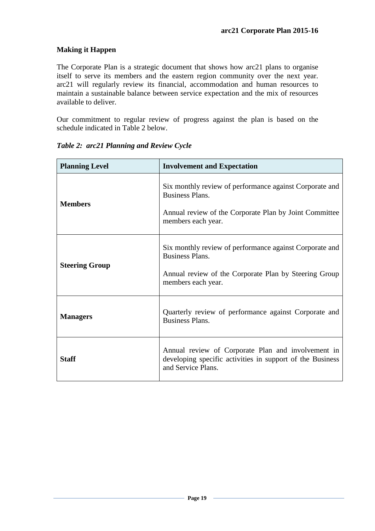# **Making it Happen**

The Corporate Plan is a strategic document that shows how arc21 plans to organise itself to serve its members and the eastern region community over the next year. arc21 will regularly review its financial, accommodation and human resources to maintain a sustainable balance between service expectation and the mix of resources available to deliver.

Our commitment to regular review of progress against the plan is based on the schedule indicated in Table 2 below.

| <b>Planning Level</b> | <b>Involvement and Expectation</b>                                                                                                                                |  |
|-----------------------|-------------------------------------------------------------------------------------------------------------------------------------------------------------------|--|
| <b>Members</b>        | Six monthly review of performance against Corporate and<br><b>Business Plans.</b><br>Annual review of the Corporate Plan by Joint Committee<br>members each year. |  |
| <b>Steering Group</b> | Six monthly review of performance against Corporate and<br><b>Business Plans.</b><br>Annual review of the Corporate Plan by Steering Group<br>members each year.  |  |
| <b>Managers</b>       | Quarterly review of performance against Corporate and<br><b>Business Plans.</b>                                                                                   |  |
| <b>Staff</b>          | Annual review of Corporate Plan and involvement in<br>developing specific activities in support of the Business<br>and Service Plans.                             |  |

*Table 2: arc21 Planning and Review Cycle*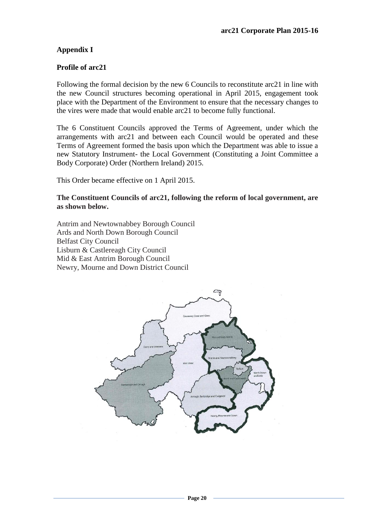# **Appendix I**

#### **Profile of arc21**

Following the formal decision by the new 6 Councils to reconstitute arc21 in line with the new Council structures becoming operational in April 2015, engagement took place with the Department of the Environment to ensure that the necessary changes to the vires were made that would enable arc21 to become fully functional.

The 6 Constituent Councils approved the Terms of Agreement, under which the arrangements with arc21 and between each Council would be operated and these Terms of Agreement formed the basis upon which the Department was able to issue a new Statutory Instrument- the Local Government (Constituting a Joint Committee a Body Corporate) Order (Northern Ireland) 2015.

This Order became effective on 1 April 2015.

**The Constituent Councils of arc21, following the reform of local government, are as shown below.**

Antrim and Newtownabbey Borough Council Ards and North Down Borough Council Belfast City Council Lisburn & Castlereagh City Council Mid & East Antrim Borough Council Newry, Mourne and Down District Council

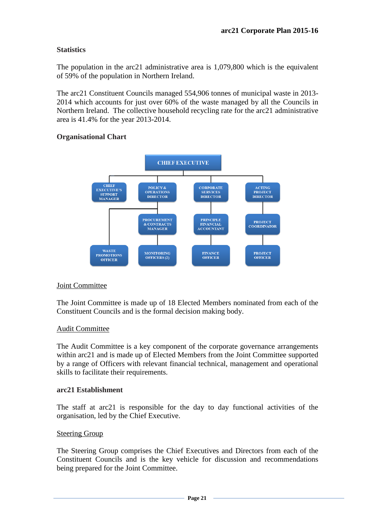# **Statistics**

The population in the arc21 administrative area is 1,079,800 which is the equivalent of 59% of the population in Northern Ireland.

The arc21 Constituent Councils managed 554,906 tonnes of municipal waste in 2013- 2014 which accounts for just over 60% of the waste managed by all the Councils in Northern Ireland. The collective household recycling rate for the arc21 administrative area is 41.4% for the year 2013-2014.

# **Organisational Chart**



# Joint Committee

The Joint Committee is made up of 18 Elected Members nominated from each of the Constituent Councils and is the formal decision making body.

# Audit Committee

The Audit Committee is a key component of the corporate governance arrangements within arc21 and is made up of Elected Members from the Joint Committee supported by a range of Officers with relevant financial technical, management and operational skills to facilitate their requirements.

# **arc21 Establishment**

The staff at arc21 is responsible for the day to day functional activities of the organisation, led by the Chief Executive.

#### Steering Group

The Steering Group comprises the Chief Executives and Directors from each of the Constituent Councils and is the key vehicle for discussion and recommendations being prepared for the Joint Committee.